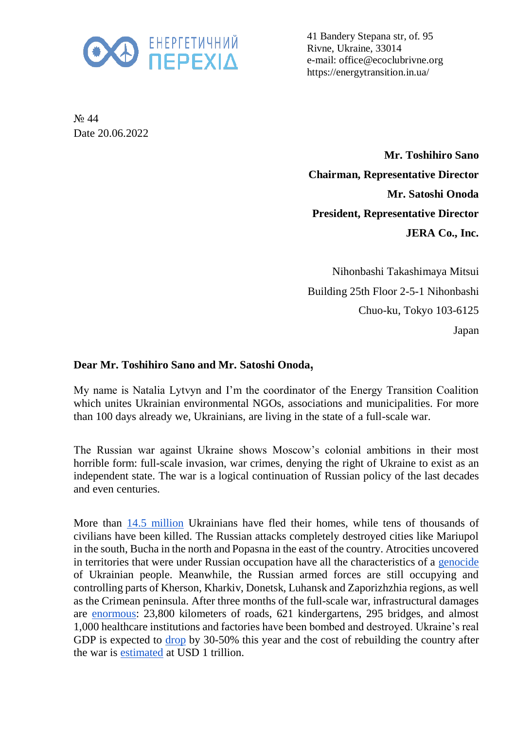

41 Bandery Stepana str, of. 95 Rivne, Ukraine, 33014 e-mail: office@ecoclubrivne.org https://energytransition.in.ua/

N<sub>o</sub> 44 Date 20.06.2022

> **Mr. Toshihiro Sano Chairman, Representative Director Mr. Satoshi Onoda President, Representative Director JERA Co., Inc.**

> Nihonbashi Takashimaya Mitsui Building 25th Floor 2-5-1 Nihonbashi Chuo-ku, Tokyo 103-6125 Japan

## **Dear Mr. Toshihiro Sano and Mr. Satoshi Onoda** ,

My name is Natalia Lytvyn and I'm the coordinator of the Energy Transition Coalition which unites Ukrainian environmental NGOs, associations and municipalities. For more than 100 days already we, Ukrainians, are living in the state of a full-scale war.

The Russian war against Ukraine shows Moscow's colonial ambitions in their most horrible form: full-scale invasion, war crimes, denying the right of Ukraine to exist as an independent state. The war is a logical continuation of Russian policy of the last decades and even centuries.

More than [14.5 million](https://data.unhcr.org/en/situations/ukraine) Ukrainians have fled their homes, while tens of thousands of civilians have been killed. The Russian attacks completely destroyed cities like Mariupol in the south, Bucha in the north and Popasna in the east of the country. Atrocities uncovered in territories that were under Russian occupation have all the characteristics of a [genocide](https://newlinesinstitute.org/russia/an-independent-legal-analysis-of-the-russian-federations-breaches-of-the-genocide-convention-in-ukraine-and-the-duty-to-prevent/) of Ukrainian people. Meanwhile, the Russian armed forces are still occupying and controlling parts of Kherson, Kharkiv, Donetsk, Luhansk and Zaporizhzhia regions, as well as the Crimean peninsula. After three months of the full-scale war, infrastructural damages are [enormous:](https://kse.ua/about-the-school/news/direct-damage-caused-to-ukraine-s-infrastructure-during-the-war-has-reached-over-105-5-billion/) 23,800 kilometers of roads, 621 kindergartens, 295 bridges, and almost 1,000 healthcare institutions and factories have been bombed and destroyed. Ukraine's real GDP is expected to [drop](https://www.reuters.com/business/ukraine-finance-minister-forecasts-45-gdp-drop-committed-servicing-debt-2022-05-11/) by 30-50% this year and the cost of rebuilding the country after the war is [estimated](https://voxeu.org/content/blueprint-reconstruction-ukraine) at USD 1 trillion.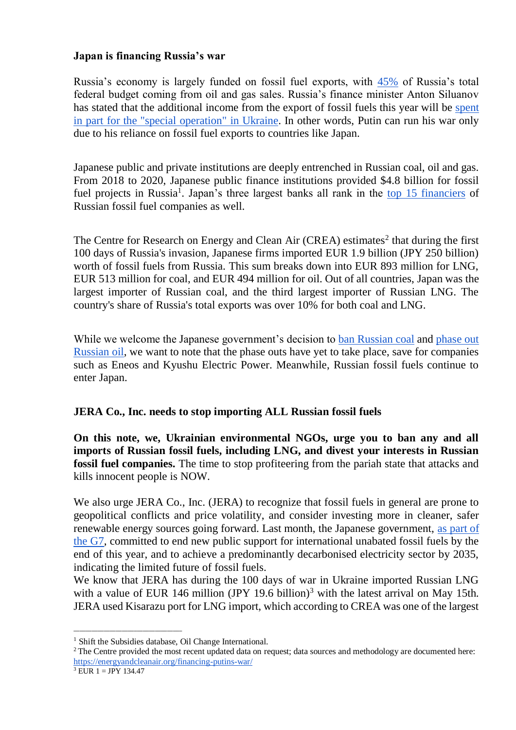## **Japan is financing Russia's war**

Russia's economy is largely funded on fossil fuel exports, with [45%](https://www.iea.org/articles/energy-fact-sheet-why-does-russian-oil-and-gas-matter) of Russia's total federal budget coming from oil and gas sales. Russia's finance minister Anton Siluanov has stated that the additional income from the export of fossil fuels this year will be [spent](https://www.tagesschau.de/newsticker/liveblog-ukraine-samstag-141.html#Mehreinnahmen)  [in part for the "special operation"](https://www.tagesschau.de/newsticker/liveblog-ukraine-samstag-141.html#Mehreinnahmen) in Ukraine. In other words, Putin can run his war only due to his reliance on fossil fuel exports to countries like Japan.

Japanese public and private institutions are deeply entrenched in Russian coal, oil and gas. From 2018 to 2020, Japanese public finance institutions provided \$4.8 billion for fossil fuel projects in Russia<sup>1</sup>. Japan's three largest banks all rank in the [top 15 financiers](https://putin100.org/) of Russian fossil fuel companies as well.

The Centre for Research on Energy and Clean Air  $(CREA)$  estimates<sup>2</sup> that during the first 100 days of Russia's invasion, Japanese firms imported EUR 1.9 billion (JPY 250 billion) worth of fossil fuels from Russia. This sum breaks down into EUR 893 million for LNG, EUR 513 million for coal, and EUR 494 million for oil. Out of all countries, Japan was the largest importer of Russian coal, and the third largest importer of Russian LNG. The country's share of Russia's total exports was over 10% for both coal and LNG.

While we welcome the Japanese government's decision to [ban Russian coal](https://www.spglobal.com/commodityinsights/en/market-insights/latest-news/oil/040822-japan-to-phase-out-russian-coal-imports-with-eye-to-suspend-it-on-g7-pledge-minister) and phase out [Russian oil,](https://www.reuters.com/world/europe/biden-meets-with-g7-leaders-ukraines-zelenskiy-discuss-war-2022-05-08/) we want to note that the phase outs have yet to take place, save for companies such as Eneos and Kyushu Electric Power. Meanwhile, Russian fossil fuels continue to enter Japan.

## **JERA Co., Inc. needs to stop importing ALL Russian fossil fuels**

**On this note, we, Ukrainian environmental NGOs, urge you to ban any and all imports of Russian fossil fuels, including LNG, and divest your interests in Russian fossil fuel companies.** The time to stop profiteering from the pariah state that attacks and kills innocent people is NOW.

We also urge JERA Co., Inc. (JERA) to recognize that fossil fuels in general are prone to geopolitical conflicts and price volatility, and consider investing more in cleaner, safer renewable energy sources going forward. Last month, the Japanese government, [as part of](https://www.env.go.jp/press/files/jp/118111.pdf)  [the G7,](https://www.env.go.jp/press/files/jp/118111.pdf) committed to end new public support for international unabated fossil fuels by the end of this year, and to achieve a predominantly decarbonised electricity sector by 2035, indicating the limited future of fossil fuels.

We know that JERA has during the 100 days of war in Ukraine imported Russian LNG with a value of EUR 146 million (JPY 19.6 billion)<sup>3</sup> with the latest arrival on May 15th. JERA used Kisarazu port for LNG import, which according to CREA was one of the largest

```
3 EUR 1 = JPY 134.47
```
\_\_\_\_\_\_\_\_\_\_\_\_\_\_\_\_\_\_\_\_\_\_\_\_\_\_\_\_\_\_\_\_\_\_\_\_

<sup>&</sup>lt;sup>1</sup> Shift the Subsidies database, Oil Change International.

<sup>&</sup>lt;sup>2</sup>The Centre provided the most recent updated data on request; data sources and methodology are documented here: <https://energyandcleanair.org/financing-putins-war/>